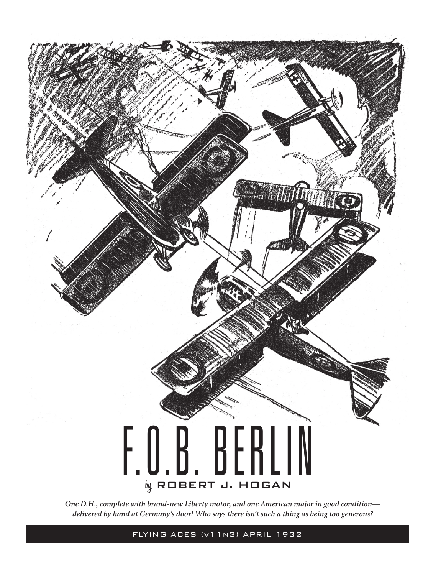

*One D.H., complete with brand-new Liberty motor, and one American major in good condition delivered by hand at Germany's door! Who says there isn't such a thing as being too generous?*

FLYING ACES (v11n3) APRIL 1932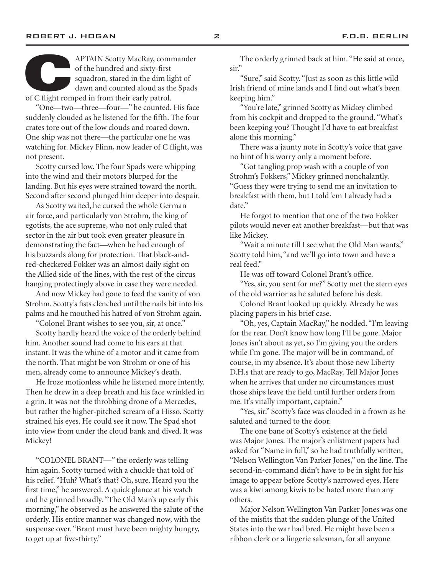APTAIN Scotty MacRay, commander<br>
of the hundred and sixty-first<br>
squadron, stared in the dim light of<br>
dawn and counted aloud as the Spads<br>
of C flight romped in from their early patrol. of the hundred and sixty-first squadron, stared in the dim light of dawn and counted aloud as the Spads

"One—two—three—four—" he counted. His face suddenly clouded as he listened for the fifth. The four crates tore out of the low clouds and roared down. One ship was not there—the particular one he was watching for. Mickey Flinn, now leader of C flight, was not present.

Scotty cursed low. The four Spads were whipping into the wind and their motors blurped for the landing. But his eyes were strained toward the north. Second after second plunged him deeper into despair.

As Scotty waited, he cursed the whole German air force, and particularly von Strohm, the king of egotists, the ace supreme, who not only ruled that sector in the air but took even greater pleasure in demonstrating the fact—when he had enough of his buzzards along for protection. That black-andred-checkered Fokker was an almost daily sight on the Allied side of the lines, with the rest of the circus hanging protectingly above in case they were needed.

And now Mickey had gone to feed the vanity of von Strohm. Scotty's fists clenched until the nails bit into his palms and he mouthed his hatred of von Strohm again.

"Colonel Brant wishes to see you, sir, at once."

Scotty hardly heard the voice of the orderly behind him. Another sound had come to his ears at that instant. It was the whine of a motor and it came from the north. That might be von Strohm or one of his men, already come to announce Mickey's death.

He froze motionless while he listened more intently. Then he drew in a deep breath and his face wrinkled in a grin. It was not the throbbing drone of a Mercedes, but rather the higher-pitched scream of a Hisso. Scotty strained his eyes. He could see it now. The Spad shot into view from under the cloud bank and dived. It was Mickey!

"COLONEL BRANT—" the orderly was telling him again. Scotty turned with a chuckle that told of his relief. "Huh? What's that? Oh, sure. Heard you the first time," he answered. A quick glance at his watch and he grinned broadly. "The Old Man's up early this morning," he observed as he answered the salute of the orderly. His entire manner was changed now, with the suspense over. "Brant must have been mighty hungry, to get up at five-thirty."

The orderly grinned back at him. "He said at once, sir."

"Sure," said Scotty. "Just as soon as this little wild Irish friend of mine lands and I find out what's been keeping him."

"You're late," grinned Scotty as Mickey climbed from his cockpit and dropped to the ground. "What's been keeping you? Thought I'd have to eat breakfast alone this morning."

There was a jaunty note in Scotty's voice that gave no hint of his worry only a moment before.

"Got tangling prop wash with a couple of von Strohm's Fokkers," Mickey grinned nonchalantly. "Guess they were trying to send me an invitation to breakfast with them, but I told 'em I already had a date."

He forgot to mention that one of the two Fokker pilots would never eat another breakfast—but that was like Mickey.

"Wait a minute till I see what the Old Man wants," Scotty told him, "and we'll go into town and have a real feed."

He was off toward Colonel Brant's office.

"Yes, sir, you sent for me?" Scotty met the stern eyes of the old warrior as he saluted before his desk.

Colonel Brant looked up quickly. Already he was placing papers in his brief case.

"Oh, yes, Captain MacRay," he nodded. "I'm leaving for the rear. Don't know how long I'll be gone. Major Jones isn't about as yet, so I'm giving you the orders while I'm gone. The major will be in command, of course, in my absence. It's about those new Liberty D.H.s that are ready to go, MacRay. Tell Major Jones when he arrives that under no circumstances must those ships leave the field until further orders from me. It's vitally important, captain."

"Yes, sir." Scotty's face was clouded in a frown as he saluted and turned to the door.

The one bane of Scotty's existence at the field was Major Jones. The major's enlistment papers had asked for "Name in full," so he had truthfully written, "Nelson Wellington Van Parker Jones," on the line. The second-in-command didn't have to be in sight for his image to appear before Scotty's narrowed eyes. Here was a kiwi among kiwis to be hated more than any others.

Major Nelson Wellington Van Parker Jones was one of the misfits that the sudden plunge of the United States into the war had bred. He might have been a ribbon clerk or a lingerie salesman, for all anyone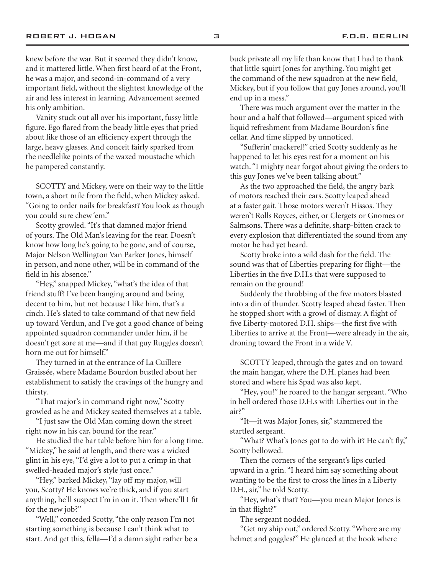knew before the war. But it seemed they didn't know, and it mattered little. When first heard of at the Front, he was a major, and second-in-command of a very important field, without the slightest knowledge of the air and less interest in learning. Advancement seemed his only ambition.

Vanity stuck out all over his important, fussy little figure. Ego flared from the beady little eyes that pried about like those of an efficiency expert through the large, heavy glasses. And conceit fairly sparked from the needlelike points of the waxed moustache which he pampered constantly.

SCOTTY and Mickey, were on their way to the little town, a short mile from the field, when Mickey asked. "Going to order nails for breakfast? You look as though you could sure chew 'em."

Scotty growled. "It's that damned major friend of yours. The Old Man's leaving for the rear. Doesn't know how long he's going to be gone, and of course, Major Nelson Wellington Van Parker Jones, himself in person, and none other, will be in command of the field in his absence."

"Hey," snapped Mickey, "what's the idea of that friend stuff? I've been hanging around and being decent to him, but not because I like him, that's a cinch. He's slated to take command of that new field up toward Verdun, and I've got a good chance of being appointed squadron commander under him, if he doesn't get sore at me—and if that guy Ruggles doesn't horn me out for himself."

They turned in at the entrance of La Cuillere Graissée, where Madame Bourdon bustled about her establishment to satisfy the cravings of the hungry and thirsty.

"That major's in command right now," Scotty growled as he and Mickey seated themselves at a table.

"I just saw the Old Man coming down the street right now in his car, bound for the rear."

He studied the bar table before him for a long time. "Mickey," he said at length, and there was a wicked glint in his eye, "I'd give a lot to put a crimp in that swelled-headed major's style just once."

"Hey," barked Mickey, "lay off my major, will you, Scotty? He knows we're thick, and if you start anything, he'll suspect I'm in on it. Then where'll I fit for the new job?"

"Well," conceded Scotty, "the only reason I'm not starting something is because I can't think what to start. And get this, fella—I'd a damn sight rather be a buck private all my life than know that I had to thank that little squirt Jones for anything. You might get the command of the new squadron at the new field, Mickey, but if you follow that guy Jones around, you'll end up in a mess."

There was much argument over the matter in the hour and a half that followed—argument spiced with liquid refreshment from Madame Bourdon's fine cellar. And time slipped by unnoticed.

"Sufferin' mackerel!" cried Scotty suddenly as he happened to let his eyes rest for a moment on his watch. "I mighty near forgot about giving the orders to this guy Jones we've been talking about."

As the two approached the field, the angry bark of motors reached their ears. Scotty leaped ahead at a faster gait. Those motors weren't Hissos. They weren't Rolls Royces, either, or Clergets or Gnomes or Salmsons. There was a definite, sharp-bitten crack to every explosion that differentiated the sound from any motor he had yet heard.

Scotty broke into a wild dash for the field. The sound was that of Liberties preparing for flight—the Liberties in the five D.H.s that were supposed to remain on the ground!

Suddenly the throbbing of the five motors blasted into a din of thunder. Scotty leaped ahead faster. Then he stopped short with a growl of dismay. A flight of five Liberty-motored D.H. ships—the first five with Liberties to arrive at the Front—were already in the air, droning toward the Front in a wide V.

SCOTTY leaped, through the gates and on toward the main hangar, where the D.H. planes had been stored and where his Spad was also kept.

"Hey, you!" he roared to the hangar sergeant. "Who in hell ordered those D.H.s with Liberties out in the air?"

"It—it was Major Jones, sir," stammered the startled sergeant.

"What? What's Jones got to do with it? He can't fly," Scotty bellowed.

Then the corners of the sergeant's lips curled upward in a grin. "I heard him say something about wanting to be the first to cross the lines in a Liberty D.H., sir," he told Scotty.

"Hey, what's that? You—you mean Major Jones is in that flight?"

The sergeant nodded.

"Get my ship out," ordered Scotty. "Where are my helmet and goggles?" He glanced at the hook where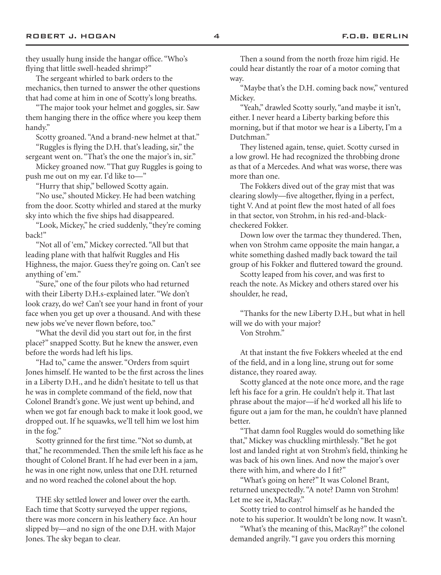The sergeant whirled to bark orders to the mechanics, then turned to answer the other questions that had come at him in one of Scotty's long breaths.

"The major took your helmet and goggles, sir. Saw them hanging there in the office where you keep them handy."

Scotty groaned. "And a brand-new helmet at that."

"Ruggles is flying the D.H. that's leading, sir," the sergeant went on. "That's the one the major's in, sir."

Mickey groaned now. "That guy Ruggles is going to push me out on my ear. I'd like to—"

"Hurry that ship," bellowed Scotty again.

"No use," shouted Mickey. He had been watching from the door. Scotty whirled and stared at the murky sky into which the five ships had disappeared.

"Look, Mickey," he cried suddenly, "they're coming back!"

"Not all of 'em," Mickey corrected. "All but that leading plane with that halfwit Ruggles and His Highness, the major. Guess they're going on. Can't see anything of 'em."

"Sure," one of the four pilots who had returned with their Liberty D.H.s-explained later. "We don't look crazy, do we? Can't see your hand in front of your face when you get up over a thousand. And with these new jobs we've never flown before, too."

"What the devil did you start out for, in the first place?" snapped Scotty. But he knew the answer, even before the words had left his lips.

"Had to," came the answer. "Orders from squirt Jones himself. He wanted to be the first across the lines in a Liberty D.H., and he didn't hesitate to tell us that he was in complete command of the field, now that Colonel Brandt's gone. We just went up behind, and when we got far enough back to make it look good, we dropped out. If he squawks, we'll tell him we lost him in the fog."

Scotty grinned for the first time. "Not so dumb, at that," he recommended. Then the smile left his face as he thought of Colonel Brant. If he had ever been in a jam, he was in one right now, unless that one D.H. returned and no word reached the colonel about the hop.

THE sky settled lower and lower over the earth. Each time that Scotty surveyed the upper regions, there was more concern in his leathery face. An hour slipped by—and no sign of the one D.H. with Major Jones. The sky began to clear.

Then a sound from the north froze him rigid. He could hear distantly the roar of a motor coming that way.

"Maybe that's the D.H. coming back now," ventured Mickey.

"Yeah," drawled Scotty sourly, "and maybe it isn't, either. I never heard a Liberty barking before this morning, but if that motor we hear is a Liberty, I'm a Dutchman."

They listened again, tense, quiet. Scotty cursed in a low growl. He had recognized the throbbing drone as that of a Mercedes. And what was worse, there was more than one.

The Fokkers dived out of the gray mist that was clearing slowly—five altogether, flying in a perfect, tight V. And at point flew the most hated of all foes in that sector, von Strohm, in his red-and-blackcheckered Fokker.

Down low over the tarmac they thundered. Then, when von Strohm came opposite the main hangar, a white something dashed madly back toward the tail group of his Fokker and fluttered toward the ground.

Scotty leaped from his cover, and was first to reach the note. As Mickey and others stared over his shoulder, he read,

"Thanks for the new Liberty D.H., but what in hell will we do with your major? Von Strohm."

At that instant the five Fokkers wheeled at the end of the field, and in a long line, strung out for some distance, they roared away.

Scotty glanced at the note once more, and the rage left his face for a grin. He couldn't help it. That last phrase about the major—if he'd worked all his life to figure out a jam for the man, he couldn't have planned better.

"That damn fool Ruggles would do something like that," Mickey was chuckling mirthlessly. "Bet he got lost and landed right at von Strohm's field, thinking he was back of his own lines. And now the major's over there with him, and where do I fit?"

"What's going on here?" It was Colonel Brant, returned unexpectedly. "A note? Damn von Strohm! Let me see it, MacRay."

Scotty tried to control himself as he handed the note to his superior. It wouldn't be long now. It wasn't.

"What's the meaning of this, MacRay?" the colonel demanded angrily. "I gave you orders this morning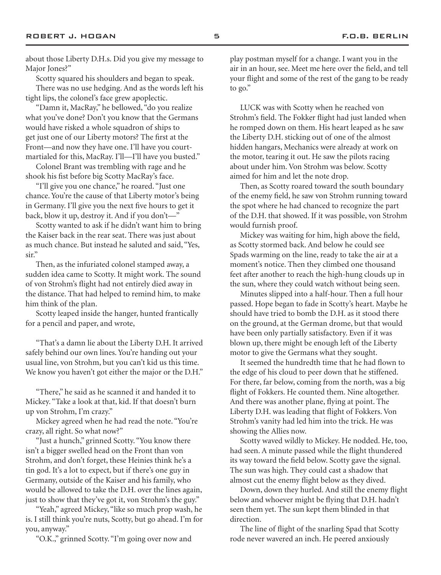about those Liberty D.H.s. Did you give my message to Major Jones?"

Scotty squared his shoulders and began to speak.

There was no use hedging. And as the words left his tight lips, the colonel's face grew apoplectic.

"Damn it, MacRay," he bellowed, "do you realize what you've done? Don't you know that the Germans would have risked a whole squadron of ships to get just one of our Liberty motors? The first at the Front—and now they have one. I'll have you courtmartialed for this, MacRay. I'll—I'll have you busted."

Colonel Brant was trembling with rage and he shook his fist before big Scotty MacRay's face.

"I'll give you one chance," he roared. "Just one chance. You're the cause of that Liberty motor's being in Germany. I'll give you the next five hours to get it back, blow it up, destroy it. And if you don't—"

Scotty wanted to ask if he didn't want him to bring the Kaiser back in the rear seat. There was just about as much chance. But instead he saluted and said, "Yes, sir."

Then, as the infuriated colonel stamped away, a sudden idea came to Scotty. It might work. The sound of von Strohm's flight had not entirely died away in the distance. That had helped to remind him, to make him think of the plan.

Scotty leaped inside the hanger, hunted frantically for a pencil and paper, and wrote,

"That's a damn lie about the Liberty D.H. It arrived safely behind our own lines. You're handing out your usual line, von Strohm, but you can't kid us this time. We know you haven't got either the major or the D.H."

"There," he said as he scanned it and handed it to Mickey. "Take a look at that, kid. If that doesn't burn up von Strohm, I'm crazy."

Mickey agreed when he had read the note. "You're crazy, all right. So what now?"

"Just a hunch," grinned Scotty. "You know there isn't a bigger swelled head on the Front than von Strohm, and don't forget, these Heinies think he's a tin god. It's a lot to expect, but if there's one guy in Germany, outside of the Kaiser and his family, who would be allowed to take the D.H. over the lines again, just to show that they've got it, von Strohm's the guy."

"Yeah," agreed Mickey, "like so much prop wash, he is. I still think you're nuts, Scotty, but go ahead. I'm for you, anyway."

"O.K.," grinned Scotty. "I'm going over now and

play postman myself for a change. I want you in the air in an hour, see. Meet me here over the field, and tell your flight and some of the rest of the gang to be ready to go."

LUCK was with Scotty when he reached von Strohm's field. The Fokker flight had just landed when he romped down on them. His heart leaped as he saw the Liberty D.H. sticking out of one of the almost hidden hangars, Mechanics were already at work on the motor, tearing it out. He saw the pilots racing about under him. Von Strohm was below. Scotty aimed for him and let the note drop.

Then, as Scotty roared toward the south boundary of the enemy field, he saw von Strohm running toward the spot where he had chanced to recognize the part of the D.H. that showed. If it was possible, von Strohm would furnish proof.

Mickey was waiting for him, high above the field, as Scotty stormed back. And below he could see Spads warming on the line, ready to take the air at a moment's notice. Then they climbed one thousand feet after another to reach the high-hung clouds up in the sun, where they could watch without being seen.

Minutes slipped into a half-hour. Then a full hour passed. Hope began to fade in Scotty's heart. Maybe he should have tried to bomb the D.H. as it stood there on the ground, at the German drome, but that would have been only partially satisfactory. Even if it was blown up, there might be enough left of the Liberty motor to give the Germans what they sought.

It seemed the hundredth time that he had flown to the edge of his cloud to peer down that he stiffened. For there, far below, coming from the north, was a big flight of Fokkers. He counted them. Nine altogether. And there was another plane, flying at point. The Liberty D.H. was leading that flight of Fokkers. Von Strohm's vanity had led him into the trick. He was showing the Allies now.

Scotty waved wildly to Mickey. He nodded. He, too, had seen. A minute passed while the flight thundered its way toward the field below. Scotty gave the signal. The sun was high. They could cast a shadow that almost cut the enemy flight below as they dived.

Down, down they hurled. And still the enemy flight below and whoever might be flying that D.H. hadn't seen them yet. The sun kept them blinded in that direction.

The line of flight of the snarling Spad that Scotty rode never wavered an inch. He peered anxiously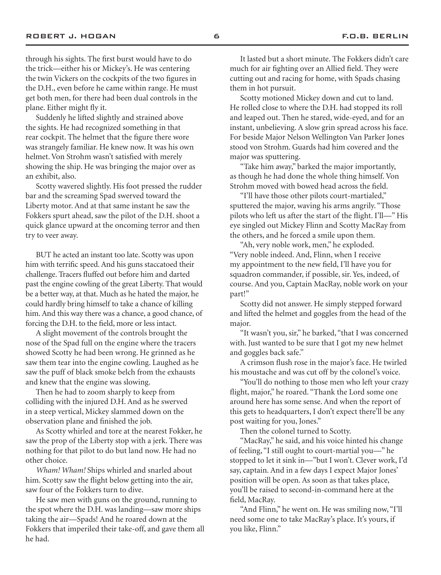through his sights. The first burst would have to do the trick—either his or Mickey's. He was centering the twin Vickers on the cockpits of the two figures in the D.H., even before he came within range. He must get both men, for there had been dual controls in the plane. Either might fly it.

Suddenly he lifted slightly and strained above the sights. He had recognized something in that rear cockpit. The helmet that the figure there wore was strangely familiar. He knew now. It was his own helmet. Von Strohm wasn't satisfied with merely showing the ship. He was bringing the major over as an exhibit, also.

Scotty wavered slightly. His foot pressed the rudder bar and the screaming Spad swerved toward the Liberty motor. And at that same instant he saw the Fokkers spurt ahead, saw the pilot of the D.H. shoot a quick glance upward at the oncoming terror and then try to veer away.

BUT he acted an instant too late. Scotty was upon him with terrific speed. And his guns staccatoed their challenge. Tracers fluffed out before him and darted past the engine cowling of the great Liberty. That would be a better way, at that. Much as he hated the major, he could hardly bring himself to take a chance of killing him. And this way there was a chance, a good chance, of forcing the D.H. to the field, more or less intact.

A slight movement of the controls brought the nose of the Spad full on the engine where the tracers showed Scotty he had been wrong. He grinned as he saw them tear into the engine cowling. Laughed as he saw the puff of black smoke belch from the exhausts and knew that the engine was slowing.

Then he had to zoom sharply to keep from colliding with the injured D.H. And as he swerved in a steep vertical, Mickey slammed down on the observation plane and finished the job.

As Scotty whirled and tore at the nearest Fokker, he saw the prop of the Liberty stop with a jerk. There was nothing for that pilot to do but land now. He had no other choice.

*Wham! Wham!* Ships whirled and snarled about him. Scotty saw the flight below getting into the air, saw four of the Fokkers turn to dive.

He saw men with guns on the ground, running to the spot where the D.H. was landing—saw more ships taking the air—Spads! And he roared down at the Fokkers that imperiled their take-off, and gave them all he had.

It lasted but a short minute. The Fokkers didn't care much for air fighting over an Allied field. They were cutting out and racing for home, with Spads chasing them in hot pursuit.

Scotty motioned Mickey down and cut to land. He rolled close to where the D.H. had stopped its roll and leaped out. Then he stared, wide-eyed, and for an instant, unbelieving. A slow grin spread across his face. For beside Major Nelson Wellington Van Parker Jones stood von Strohm. Guards had him covered and the major was sputtering.

"Take him away," barked the major importantly, as though he had done the whole thing himself. Von Strohm moved with bowed head across the field.

"I'll have those other pilots court-martialed," sputtered the major, waving his arms angrily. "Those pilots who left us after the start of the flight. I'll—" His eye singled out Mickey Flinn and Scotty MacRay from the others, and he forced a smile upon them.

"Ah, very noble work, men," he exploded. "Very noble indeed. And, Flinn, when I receive my appointment to the new field, I'll have you for squadron commander, if possible, sir. Yes, indeed, of course. And you, Captain MacRay, noble work on your part!"

Scotty did not answer. He simply stepped forward and lifted the helmet and goggles from the head of the major.

"It wasn't you, sir," he barked, "that I was concerned with. Just wanted to be sure that I got my new helmet and goggles back safe."

A crimson flush rose in the major's face. He twirled his moustache and was cut off by the colonel's voice.

"You'll do nothing to those men who left your crazy flight, major," he roared. "Thank the Lord some one around here has some sense. And when the report of this gets to headquarters, I don't expect there'll be any post waiting for you, Jones."

Then the colonel turned to Scotty.

"MacRay," he said, and his voice hinted his change of feeling, "I still ought to court-martial you—" he stopped to let it sink in—"but I won't. Clever work, I'd say, captain. And in a few days I expect Major Jones' position will be open. As soon as that takes place, you'll be raised to second-in-command here at the field, MacRay.

"And Flinn," he went on. He was smiling now, "I'll need some one to take MacRay's place. It's yours, if you like, Flinn."